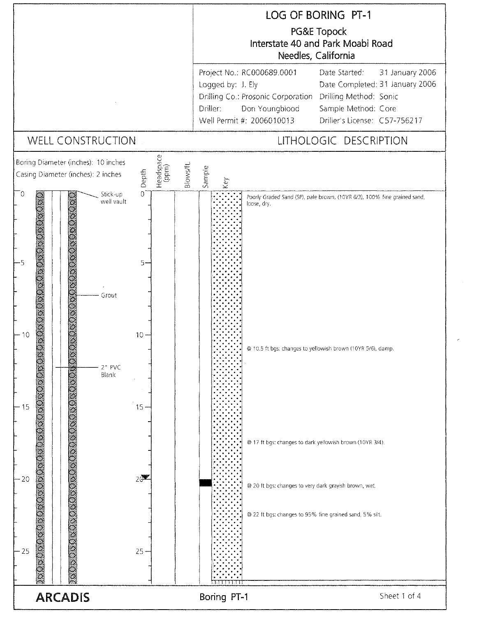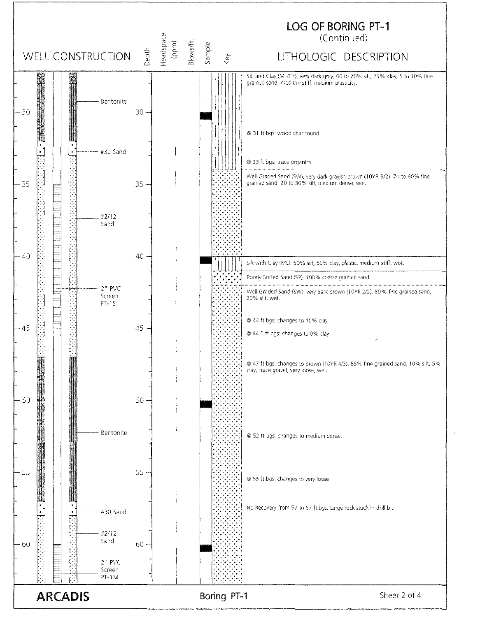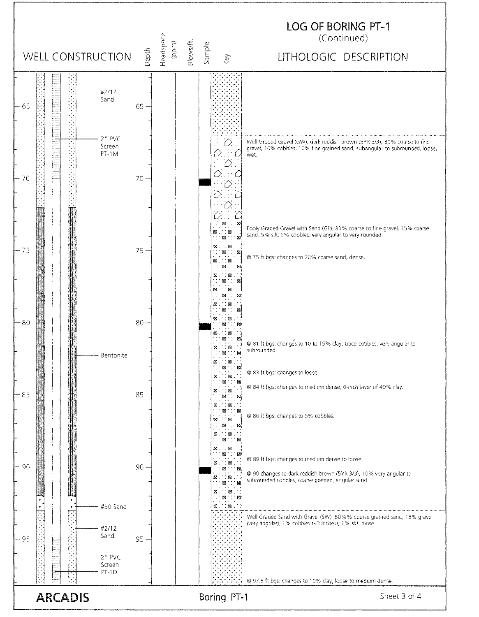